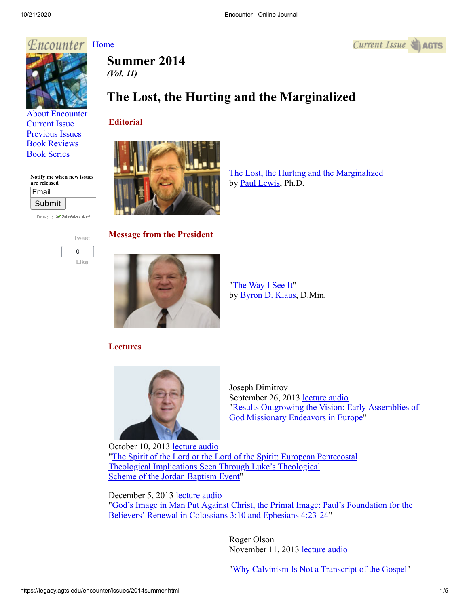## *F.ncounter* [Home](http://legacy.agts.edu/encounter/index.htm)



[About Encounter](http://legacy.agts.edu/encounter/about.html) [Current Issue](http://legacy.agts.edu/encounter/current.html) [Previous Issues](http://legacy.agts.edu/encounter/previous.html) [Book Reviews](http://legacy.agts.edu/encounter/book_reviews.html) [Book Series](http://legacy.agts.edu/encounter/resources.html)

**Notify me when new issues are released**

| Email  |  |
|--------|--|
| Submit |  |

Privacy by **EV SafeSubscribe**<sup>sM</sup>



**Summer 2014**

# *(Vol. 11)*

# **The Lost, the Hurting and the Marginalized**

## **Editorial**



[The Lost, the Hurting and the Marginalized](https://legacy.agts.edu/encounter/articles/2014fall/Editorial_Final_Oct_rev.pdf) by [Paul Lewis,](https://legacy.agts.edu/faculty/Lewis.html) Ph.D.

 $Current$  Issue  $\triangle$  AGTS

**Message from the President**



"[The Way I See It](https://legacy.agts.edu/encounter/articles/2014fall/Presidents_Note_FINAL.pdf)" by [Byron D. Klaus,](http://legacy.agts.edu/faculty/klaus.html) D.Min.

## **Lectures**



Joseph Dimitrov September 26, 2013 [lecture audio](https://legacy.agts.edu/resources/audio_files/2013_0926_JosephDimitrov.mp3) ["Results Outgrowing the Vision: Early Assemblies of](https://legacy.agts.edu/encounter/articles/2014fall/Dimitrov_Lecture_1_for_Encounter_Journal_Final.pdf) God Missionary Endeavors in Europe"

October 10, 2013 [lecture audio](https://legacy.agts.edu/resources/audio_files/2013_1010_JosephDimitrov.mp3) ["The Spirit of the Lord or the Lord of the Spirit: European Pentecostal](https://legacy.agts.edu/encounter/articles/2014fall/Dimitrov_Lecture_2_for_Encounter_Journal_Final.pdf) Theological Implications Seen Through Luke's Theological Scheme of the Jordan Baptism Event"

December 5, 2013 [lecture audio](https://legacy.agts.edu/resources/audio_files/2013_12_05_JosephDimitrov.mp3) ["God's Image in Man Put Against Christ, the Primal Image: Paul's Foundation for the](https://legacy.agts.edu/encounter/articles/2014fall/Dimitrov_Lecture_3_for_Encounter_Final.pdf) Believers' Renewal in Colossians 3:10 and Ephesians 4:23-24"

> Roger Olson November 11, 2013 [lecture audio](https://legacy.agts.edu/resources/audio_files/2013_11_11_ROlson_Chapel_Lecture.mp3)

"[Why Calvinism Is Not a Transcript of the Gospel](https://legacy.agts.edu/encounter/articles/2014fall/Olson_lecture__for_Encounter_Final.pdf)"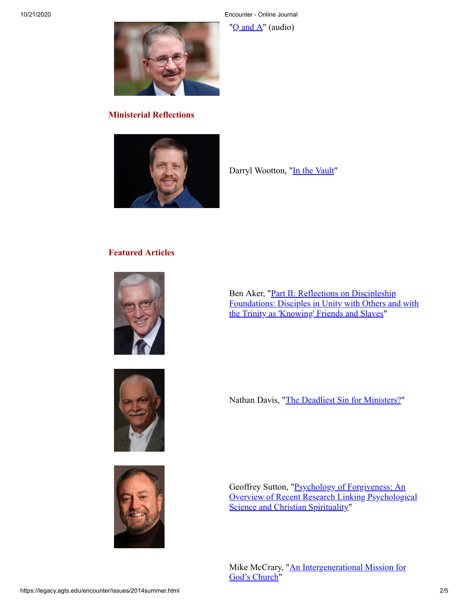10/21/2020 Encounter - Online Journal

" $Q$  and  $A$ " (audio)

Darryl Wootton, ["In the Vault"](https://legacy.agts.edu/encounter/articles/2014fall/Wootton__Ministerial_Reflection_FINAL.pdf)



#### **Ministerial Reflections**



## **Featured Articles**



Ben Aker, "Part II: Reflections on Discipleship [Foundations: Disciples in Unity with Others and with](https://legacy.agts.edu/encounter/articles/2014fall/Aker__Part%20II%20Discipleship%20FINAL.pdf) the Trinity as 'Knowing' Friends and Slaves"





Geoffrey Sutton, "Psychology of Forgiveness: An [Overview of Recent Research Linking Psychological](https://legacy.agts.edu/encounter/articles/2014fall/Sutton__Psychology_of_Forgiveness_Final.pdf) Science and Christian Spirituality"

Nathan Davis, "[The Deadliest Sin for Ministers?"](https://legacy.agts.edu/encounter/articles/2014fall/Davis__Power_and_Control_FINAL.pdf)

[Mike McCrary, "An Intergenerational Mission for](https://legacy.agts.edu/encounter/articles/2014fall/McCrary__Article__Multigenerataional_ministry_Final.pdf) God's Church"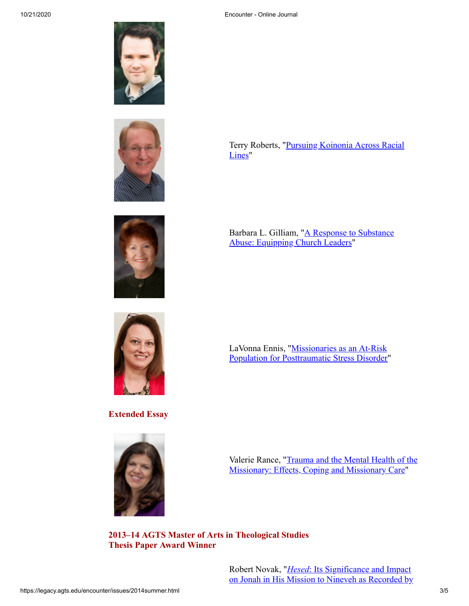







**Extended Essay**



[Terry Roberts, "Pursuing Koinonia Across Racial](https://legacy.agts.edu/encounter/articles/2014fall/Roberts__Bridging_the_Racial-Politial_Divide_in_a_Local_Church_Final.pdf) Lines"

[Barbara L. Gilliam, "A Response to Substance](https://legacy.agts.edu/encounter/articles/2014fall/Gilliam__Drug_Addiction_Final.pdf) Abuse: Equipping Church Leaders"

[LaVonna Ennis, "Missionaries as an At-Risk](https://legacy.agts.edu/encounter/articles/2014fall/Ennis__Missionaries_and_PTSD_Final_with_Revision.pdf) Population for Posttraumatic Stress Disorder"

[Valerie Rance, "Trauma and the Mental Health of the](https://legacy.agts.edu/encounter/articles/2014fall/Rance__Val__Article__Trauma_and_Mental_Health_of_Missionaries_FINAL.pdf) Missionary: Effects, Coping and Missionary Care"

**2013–14 AGTS Master of Arts in Theological Studies Thesis Paper Award Winner**

> Robert Novak, "*Hesed*: Its Significance and Impact [on Jonah in His Mission to Nineveh as Recorded by](https://legacy.agts.edu/encounter/articles/2014fall/Novak__Hesed_MATS_Final.pdf)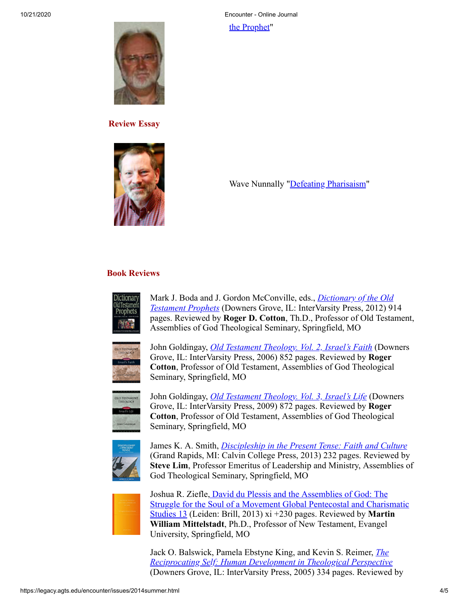[the Prophet"](https://legacy.agts.edu/encounter/articles/2014fall/Novak__Hesed_MATS_Final.pdf)



**Review Essay**



Wave Nunnally "[Defeating Pharisaism](https://legacy.agts.edu/encounter/articles/2014fall/Nunnally__Defeating_Pharisaism_Final.pdf)"

## **Book Reviews**



Mark J. Boda and J. Gordon McConville, eds., *Dictionary of the Old Testament Prophets* [\(Downers Grove, IL: InterVarsity Press, 2012\) 91](https://legacy.agts.edu/encounter/book_reviews/2014fall/Cotton__book_review__Dict_of_OT_Prophets_Final.pdf)4 pages. Reviewed by **Roger D. Cotton**, Th.D., Professor of Old Testament, Assemblies of God Theological Seminary, Springfield, MO



John Goldingay, *[Old Testament Theology. Vol. 2, Israel's Faith](https://legacy.agts.edu/encounter/book_reviews/2014fall/Cotton__book_review__Goldingay_2nd_vol_Final.pdf)* (Downers Grove, IL: InterVarsity Press, 2006) 852 pages. Reviewed by **Roger Cotton**, Professor of Old Testament, Assemblies of God Theological Seminary, Springfield, MO



John Goldingay, *[Old Testament Theology. Vol. 3, Israel's Life](https://legacy.agts.edu/encounter/book_reviews/2014fall/Cotton__book_review%20_Goldingay_vol%20_3_Final.pdf)* (Downers Grove, IL: InterVarsity Press, 2009) 872 pages. Reviewed by **Roger Cotton**, Professor of Old Testament, Assemblies of God Theological Seminary, Springfield, MO



James K. A. Smith, *[Discipleship in the Present Tense: Faith and Culture](https://legacy.agts.edu/encounter/book_reviews/2014fall/Lim__book_review_Final.pdf)* (Grand Rapids, MI: Calvin College Press, 2013) 232 pages. Reviewed by **Steve Lim**, Professor Emeritus of Leadership and Ministry, Assemblies of God Theological Seminary, Springfield, MO



Joshua R. Ziefle, David du Plessis and the Assemblies of God: The [Struggle for the Soul of a Movement Global Pentecostal and Charismatic](https://legacy.agts.edu/encounter/book_reviews/2014fall/Mittelstadt__Book_Review_of_Ziefle_Final.pdf) Studies 13 (Leiden: Brill, 2013) xi +230 pages. Reviewed by **Martin William Mittelstadt**, Ph.D., Professor of New Testament, Evangel University, Springfield, MO

Jack O. Balswick, Pamela Ebstyne King, and Kevin S. Reimer, *The [Reciprocating Self: Human Development in Theological Perspective](https://legacy.agts.edu/encounter/book_reviews/2014fall/Oleson__book_review__The_Reciprocating_Self_Final.pdf)* (Downers Grove, IL: InterVarsity Press, 2005) 334 pages. Reviewed by